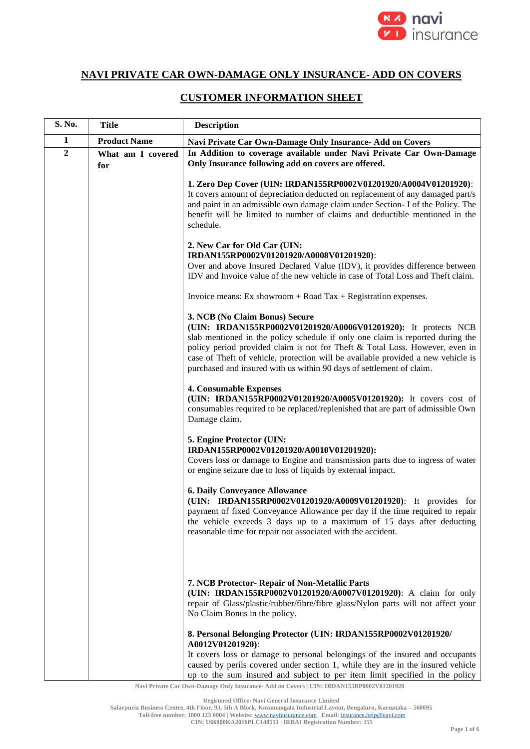

## **NAVI PRIVATE CAR OWN-DAMAGE ONLY INSURANCE- ADD ON COVERS**

## **CUSTOMER INFORMATION SHEET**

| S. No.         | <b>Title</b>             | <b>Description</b>                                                                                                                                                                                                                                                                                                                                                                                                             |
|----------------|--------------------------|--------------------------------------------------------------------------------------------------------------------------------------------------------------------------------------------------------------------------------------------------------------------------------------------------------------------------------------------------------------------------------------------------------------------------------|
| 1              | <b>Product Name</b>      | Navi Private Car Own-Damage Only Insurance- Add on Covers                                                                                                                                                                                                                                                                                                                                                                      |
| $\overline{2}$ | What am I covered<br>for | In Addition to coverage available under Navi Private Car Own-Damage<br>Only Insurance following add on covers are offered.                                                                                                                                                                                                                                                                                                     |
|                |                          | 1. Zero Dep Cover (UIN: IRDAN155RP0002V01201920/A0004V01201920):<br>It covers amount of depreciation deducted on replacement of any damaged part/s<br>and paint in an admissible own damage claim under Section- I of the Policy. The<br>benefit will be limited to number of claims and deductible mentioned in the<br>schedule.                                                                                              |
|                |                          | 2. New Car for Old Car (UIN:<br>IRDAN155RP0002V01201920/A0008V01201920):<br>Over and above Insured Declared Value (IDV), it provides difference between<br>IDV and Invoice value of the new vehicle in case of Total Loss and Theft claim.                                                                                                                                                                                     |
|                |                          | Invoice means: Ex showroom $+$ Road Tax $+$ Registration expenses.                                                                                                                                                                                                                                                                                                                                                             |
|                |                          | 3. NCB (No Claim Bonus) Secure<br>(UIN: IRDAN155RP0002V01201920/A0006V01201920): It protects NCB<br>slab mentioned in the policy schedule if only one claim is reported during the<br>policy period provided claim is not for Theft & Total Loss. However, even in<br>case of Theft of vehicle, protection will be available provided a new vehicle is<br>purchased and insured with us within 90 days of settlement of claim. |
|                |                          | <b>4. Consumable Expenses</b><br>(UIN: IRDAN155RP0002V01201920/A0005V01201920): It covers cost of<br>consumables required to be replaced/replenished that are part of admissible Own<br>Damage claim.                                                                                                                                                                                                                          |
|                |                          | 5. Engine Protector (UIN:<br>IRDAN155RP0002V01201920/A0010V01201920):<br>Covers loss or damage to Engine and transmission parts due to ingress of water<br>or engine seizure due to loss of liquids by external impact.                                                                                                                                                                                                        |
|                |                          | <b>6. Daily Conveyance Allowance</b><br>(UIN: IRDAN155RP0002V01201920/A0009V01201920): It provides for<br>payment of fixed Conveyance Allowance per day if the time required to repair<br>the vehicle exceeds 3 days up to a maximum of 15 days after deducting<br>reasonable time for repair not associated with the accident.                                                                                                |
|                |                          | 7. NCB Protector- Repair of Non-Metallic Parts<br>(UIN: IRDAN155RP0002V01201920/A0007V01201920): A claim for only<br>repair of Glass/plastic/rubber/fibre/fibre glass/Nylon parts will not affect your<br>No Claim Bonus in the policy.                                                                                                                                                                                        |
|                |                          | 8. Personal Belonging Protector (UIN: IRDAN155RP0002V01201920/<br>A0012V01201920):<br>It covers loss or damage to personal belongings of the insured and occupants<br>caused by perils covered under section 1, while they are in the insured vehicle<br>up to the sum insured and subject to per item limit specified in the policy                                                                                           |

**Navi Private Car Own-Damage Only Insurance- Add on Covers | UIN: IRDAN155RP0002V01201920**

**Registered Office: Navi General Insurance Limited**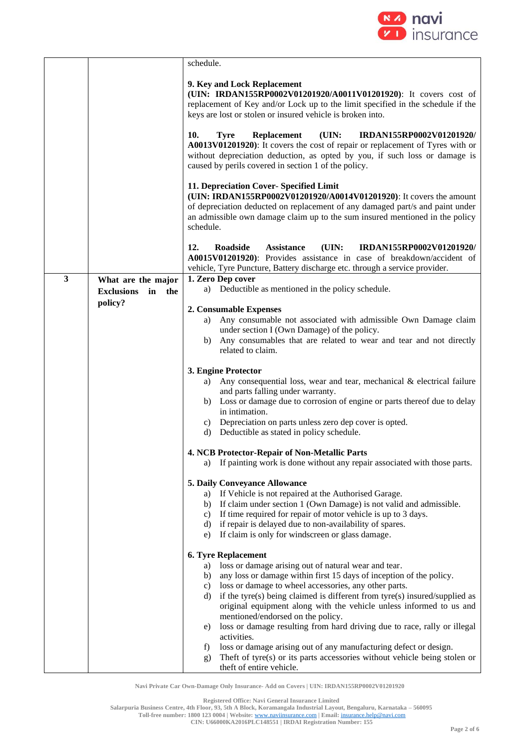

|   |                                                      | schedule.                                                                                                                                                                                                                                                                                            |
|---|------------------------------------------------------|------------------------------------------------------------------------------------------------------------------------------------------------------------------------------------------------------------------------------------------------------------------------------------------------------|
|   |                                                      | 9. Key and Lock Replacement<br>(UIN: IRDAN155RP0002V01201920/A0011V01201920): It covers cost of<br>replacement of Key and/or Lock up to the limit specified in the schedule if the<br>keys are lost or stolen or insured vehicle is broken into.                                                     |
|   |                                                      | 10.<br>(UIN:<br><b>Tyre</b><br><b>Replacement</b><br>IRDAN155RP0002V01201920/<br>A0013V01201920): It covers the cost of repair or replacement of Tyres with or<br>without depreciation deduction, as opted by you, if such loss or damage is<br>caused by perils covered in section 1 of the policy. |
|   |                                                      | 11. Depreciation Cover- Specified Limit<br>(UIN: IRDAN155RP0002V01201920/A0014V01201920): It covers the amount<br>of depreciation deducted on replacement of any damaged part/s and paint under<br>an admissible own damage claim up to the sum insured mentioned in the policy<br>schedule.         |
|   |                                                      | 12.<br>Roadside<br><b>Assistance</b><br>(UIN:<br>IRDAN155RP0002V01201920/<br>A0015V01201920): Provides assistance in case of breakdown/accident of<br>vehicle, Tyre Puncture, Battery discharge etc. through a service provider.                                                                     |
| 3 | What are the major<br><b>Exclusions</b><br>in<br>the | 1. Zero Dep cover<br>a) Deductible as mentioned in the policy schedule.                                                                                                                                                                                                                              |
|   | policy?                                              | 2. Consumable Expenses                                                                                                                                                                                                                                                                               |
|   |                                                      | a) Any consumable not associated with admissible Own Damage claim<br>under section I (Own Damage) of the policy.<br>Any consumables that are related to wear and tear and not directly<br>b)<br>related to claim.                                                                                    |
|   |                                                      | 3. Engine Protector                                                                                                                                                                                                                                                                                  |
|   |                                                      | Any consequential loss, wear and tear, mechanical & electrical failure<br>a)<br>and parts falling under warranty.<br>b) Loss or damage due to corrosion of engine or parts thereof due to delay                                                                                                      |
|   |                                                      | in intimation.                                                                                                                                                                                                                                                                                       |
|   |                                                      | c) Depreciation on parts unless zero dep cover is opted.<br>d) Deductible as stated in policy schedule.                                                                                                                                                                                              |
|   |                                                      | 4. NCB Protector-Repair of Non-Metallic Parts                                                                                                                                                                                                                                                        |
|   |                                                      | a) If painting work is done without any repair associated with those parts.                                                                                                                                                                                                                          |
|   |                                                      | 5. Daily Conveyance Allowance                                                                                                                                                                                                                                                                        |
|   |                                                      | a) If Vehicle is not repaired at the Authorised Garage.<br>b) If claim under section 1 (Own Damage) is not valid and admissible.                                                                                                                                                                     |
|   |                                                      | If time required for repair of motor vehicle is up to 3 days.<br>C)<br>d) if repair is delayed due to non-availability of spares.                                                                                                                                                                    |
|   |                                                      | e) If claim is only for windscreen or glass damage.                                                                                                                                                                                                                                                  |
|   |                                                      | 6. Tyre Replacement                                                                                                                                                                                                                                                                                  |
|   |                                                      | a) loss or damage arising out of natural wear and tear.<br>any loss or damage within first 15 days of inception of the policy.<br>b)                                                                                                                                                                 |
|   |                                                      | loss or damage to wheel accessories, any other parts.<br>C)<br>if the tyre(s) being claimed is different from tyre(s) insured/supplied as<br>d)<br>original equipment along with the vehicle unless informed to us and<br>mentioned/endorsed on the policy.                                          |
|   |                                                      | loss or damage resulting from hard driving due to race, rally or illegal<br>e)                                                                                                                                                                                                                       |
|   |                                                      | activities.<br>loss or damage arising out of any manufacturing defect or design.<br>$\mathbf{f}$ )                                                                                                                                                                                                   |
|   |                                                      | Theft of tyre(s) or its parts accessories without vehicle being stolen or<br>g)<br>theft of entire vehicle.                                                                                                                                                                                          |

**Registered Office: Navi General Insurance Limited**

**Salarpuria Business Centre, 4th Floor, 93, 5th A Block, Koramangala Industrial Layout, Bengaluru, Karnataka – 560095**

**Toll-free number: 1800 123 0004 | Website:** [www.naviinsurance.com](http://www.naviinsurance.com/) **| Email:** [insurance.help@navi.com](mailto:insurance.help@navi.com)

**CIN: U66000KA2016PLC148551 | IRDAI Registration Number: 155**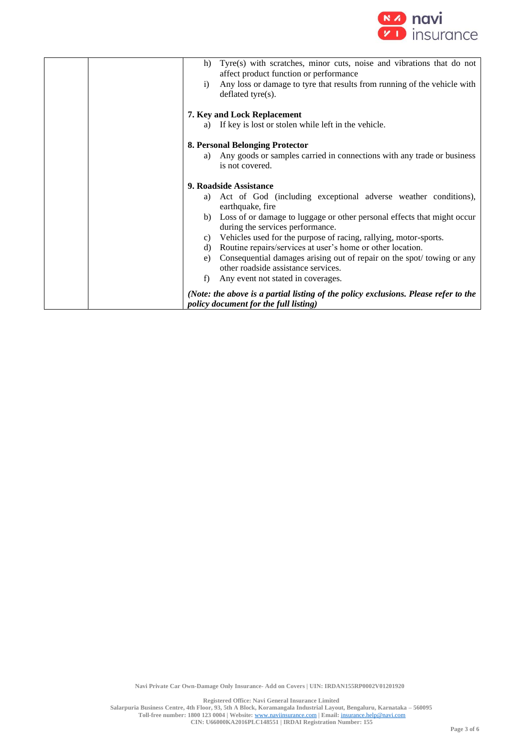

| Tyre(s) with scratches, minor cuts, noise and vibrations that do not<br>h)<br>affect product function or performance<br>Any loss or damage to tyre that results from running of the vehicle with<br>i)<br>deflated tyre $(s)$ . |
|---------------------------------------------------------------------------------------------------------------------------------------------------------------------------------------------------------------------------------|
|                                                                                                                                                                                                                                 |
| 7. Key and Lock Replacement                                                                                                                                                                                                     |
| If key is lost or stolen while left in the vehicle.<br>a)                                                                                                                                                                       |
|                                                                                                                                                                                                                                 |
| 8. Personal Belonging Protector                                                                                                                                                                                                 |
| Any goods or samples carried in connections with any trade or business<br>a)                                                                                                                                                    |
| is not covered.                                                                                                                                                                                                                 |
|                                                                                                                                                                                                                                 |
| 9. Roadside Assistance                                                                                                                                                                                                          |
| Act of God (including exceptional adverse weather conditions),<br>a)<br>earthquake, fire                                                                                                                                        |
| b) Loss of or damage to luggage or other personal effects that might occur                                                                                                                                                      |
| during the services performance.                                                                                                                                                                                                |
| c) Vehicles used for the purpose of racing, rallying, motor-sports.                                                                                                                                                             |
| Routine repairs/services at user's home or other location.<br>d)                                                                                                                                                                |
| Consequential damages arising out of repair on the spot/towing or any<br>e)                                                                                                                                                     |
| other roadside assistance services.                                                                                                                                                                                             |
| Any event not stated in coverages.<br>f)                                                                                                                                                                                        |
| (Note: the above is a partial listing of the policy exclusions. Please refer to the<br>policy document for the full listing)                                                                                                    |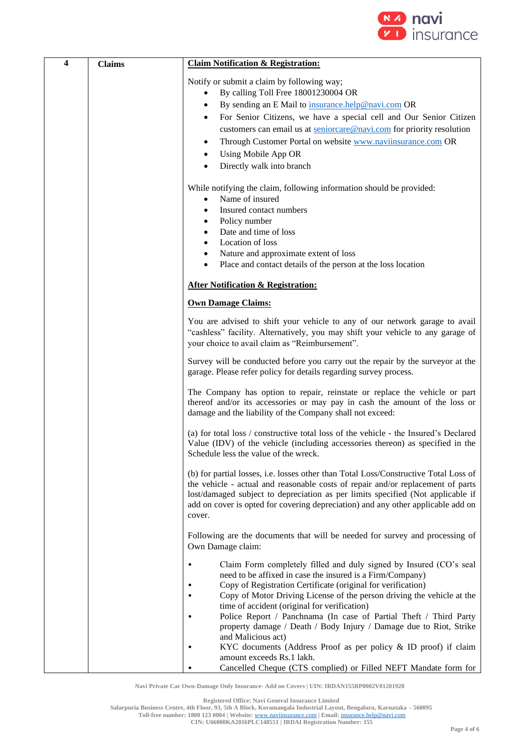

| $\overline{\mathbf{4}}$ | <b>Claims</b> | <b>Claim Notification &amp; Registration:</b>                                                                                                                                                                                                                                                                                                                                                                                                                                                                                                                                                                                                                                                                                                                               |
|-------------------------|---------------|-----------------------------------------------------------------------------------------------------------------------------------------------------------------------------------------------------------------------------------------------------------------------------------------------------------------------------------------------------------------------------------------------------------------------------------------------------------------------------------------------------------------------------------------------------------------------------------------------------------------------------------------------------------------------------------------------------------------------------------------------------------------------------|
|                         |               | Notify or submit a claim by following way;<br>By calling Toll Free 18001230004 OR<br>By sending an E Mail to insurance.help@navi.com OR<br>٠<br>For Senior Citizens, we have a special cell and Our Senior Citizen<br>customers can email us at seniorcare@navi.com for priority resolution<br>Through Customer Portal on website www.naviinsurance.com OR<br>٠<br>Using Mobile App OR<br>٠<br>Directly walk into branch<br>$\bullet$<br>While notifying the claim, following information should be provided:<br>Name of insured<br>$\bullet$<br>Insured contact numbers<br>٠<br>Policy number<br>٠<br>Date and time of loss<br>Location of loss<br>٠<br>Nature and approximate extent of loss<br>$\bullet$<br>Place and contact details of the person at the loss location |
|                         |               | <b>After Notification &amp; Registration:</b>                                                                                                                                                                                                                                                                                                                                                                                                                                                                                                                                                                                                                                                                                                                               |
|                         |               | <b>Own Damage Claims:</b>                                                                                                                                                                                                                                                                                                                                                                                                                                                                                                                                                                                                                                                                                                                                                   |
|                         |               | You are advised to shift your vehicle to any of our network garage to avail<br>"cashless" facility. Alternatively, you may shift your vehicle to any garage of<br>your choice to avail claim as "Reimbursement".                                                                                                                                                                                                                                                                                                                                                                                                                                                                                                                                                            |
|                         |               | Survey will be conducted before you carry out the repair by the surveyor at the<br>garage. Please refer policy for details regarding survey process.                                                                                                                                                                                                                                                                                                                                                                                                                                                                                                                                                                                                                        |
|                         |               | The Company has option to repair, reinstate or replace the vehicle or part<br>thereof and/or its accessories or may pay in cash the amount of the loss or<br>damage and the liability of the Company shall not exceed:                                                                                                                                                                                                                                                                                                                                                                                                                                                                                                                                                      |
|                         |               | (a) for total loss / constructive total loss of the vehicle - the Insured's Declared<br>Value (IDV) of the vehicle (including accessories thereon) as specified in the<br>Schedule less the value of the wreck.                                                                                                                                                                                                                                                                                                                                                                                                                                                                                                                                                             |
|                         |               | (b) for partial losses, i.e. losses other than Total Loss/Constructive Total Loss of<br>the vehicle - actual and reasonable costs of repair and/or replacement of parts<br>lost/damaged subject to depreciation as per limits specified (Not applicable if<br>add on cover is opted for covering depreciation) and any other applicable add on<br>cover.                                                                                                                                                                                                                                                                                                                                                                                                                    |
|                         |               | Following are the documents that will be needed for survey and processing of<br>Own Damage claim:                                                                                                                                                                                                                                                                                                                                                                                                                                                                                                                                                                                                                                                                           |
|                         |               | Claim Form completely filled and duly signed by Insured (CO's seal<br>$\bullet$<br>need to be affixed in case the insured is a Firm/Company)<br>Copy of Registration Certificate (original for verification)<br>Copy of Motor Driving License of the person driving the vehicle at the<br>time of accident (original for verification)<br>Police Report / Panchnama (In case of Partial Theft / Third Party<br>property damage / Death / Body Injury / Damage due to Riot, Strike<br>and Malicious act)<br>KYC documents (Address Proof as per policy & ID proof) if claim<br>amount exceeds Rs.1 lakh.<br>Cancelled Cheque (CTS complied) or Filled NEFT Mandate form for                                                                                                  |

**Registered Office: Navi General Insurance Limited**

**Salarpuria Business Centre, 4th Floor, 93, 5th A Block, Koramangala Industrial Layout, Bengaluru, Karnataka – 560095**

**Toll-free number: 1800 123 0004 | Website:** [www.naviinsurance.com](http://www.naviinsurance.com/) **| Email:** [insurance.help@navi.com](mailto:insurance.help@navi.com) **CIN: U66000KA2016PLC148551 | IRDAI Registration Number: 155**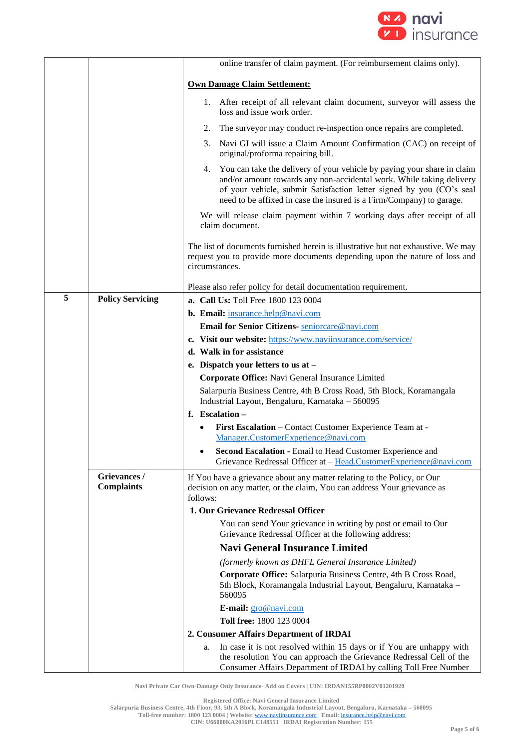

|   |                                   | online transfer of claim payment. (For reimbursement claims only).                                                                                                                                                                                                                                    |
|---|-----------------------------------|-------------------------------------------------------------------------------------------------------------------------------------------------------------------------------------------------------------------------------------------------------------------------------------------------------|
|   |                                   | <b>Own Damage Claim Settlement:</b>                                                                                                                                                                                                                                                                   |
|   |                                   | 1. After receipt of all relevant claim document, surveyor will assess the<br>loss and issue work order.                                                                                                                                                                                               |
|   |                                   | The surveyor may conduct re-inspection once repairs are completed.<br>2.                                                                                                                                                                                                                              |
|   |                                   | Navi GI will issue a Claim Amount Confirmation (CAC) on receipt of<br>3.<br>original/proforma repairing bill.                                                                                                                                                                                         |
|   |                                   | You can take the delivery of your vehicle by paying your share in claim<br>4.<br>and/or amount towards any non-accidental work. While taking delivery<br>of your vehicle, submit Satisfaction letter signed by you (CO's seal<br>need to be affixed in case the insured is a Firm/Company) to garage. |
|   |                                   | We will release claim payment within 7 working days after receipt of all<br>claim document.                                                                                                                                                                                                           |
|   |                                   | The list of documents furnished herein is illustrative but not exhaustive. We may<br>request you to provide more documents depending upon the nature of loss and<br>circumstances.                                                                                                                    |
|   |                                   | Please also refer policy for detail documentation requirement.                                                                                                                                                                                                                                        |
| 5 | <b>Policy Servicing</b>           | <b>a. Call Us: Toll Free 1800 123 0004</b>                                                                                                                                                                                                                                                            |
|   |                                   | b. Email: insurance.help@navi.com                                                                                                                                                                                                                                                                     |
|   |                                   | Email for Senior Citizens- seniorcare@navi.com                                                                                                                                                                                                                                                        |
|   |                                   | c. Visit our website: https://www.naviinsurance.com/service/                                                                                                                                                                                                                                          |
|   |                                   | d. Walk in for assistance                                                                                                                                                                                                                                                                             |
|   |                                   | e. Dispatch your letters to us at -                                                                                                                                                                                                                                                                   |
|   |                                   | Corporate Office: Navi General Insurance Limited                                                                                                                                                                                                                                                      |
|   |                                   | Salarpuria Business Centre, 4th B Cross Road, 5th Block, Koramangala<br>Industrial Layout, Bengaluru, Karnataka - 560095                                                                                                                                                                              |
|   |                                   | f. Escalation $-$                                                                                                                                                                                                                                                                                     |
|   |                                   | First Escalation - Contact Customer Experience Team at -<br>Manager.CustomerExperience@navi.com                                                                                                                                                                                                       |
|   |                                   | Second Escalation - Email to Head Customer Experience and<br>Grievance Redressal Officer at - Head.CustomerExperience@navi.com                                                                                                                                                                        |
|   | Grievances /<br><b>Complaints</b> | If You have a grievance about any matter relating to the Policy, or Our<br>decision on any matter, or the claim, You can address Your grievance as<br>follows:                                                                                                                                        |
|   |                                   | 1. Our Grievance Redressal Officer                                                                                                                                                                                                                                                                    |
|   |                                   | You can send Your grievance in writing by post or email to Our<br>Grievance Redressal Officer at the following address:                                                                                                                                                                               |
|   |                                   | <b>Navi General Insurance Limited</b>                                                                                                                                                                                                                                                                 |
|   |                                   | (formerly known as DHFL General Insurance Limited)                                                                                                                                                                                                                                                    |
|   |                                   | Corporate Office: Salarpuria Business Centre, 4th B Cross Road,<br>5th Block, Koramangala Industrial Layout, Bengaluru, Karnataka -<br>560095                                                                                                                                                         |
|   |                                   | E-mail: gro@navi.com                                                                                                                                                                                                                                                                                  |
|   |                                   | Toll free: 1800 123 0004                                                                                                                                                                                                                                                                              |
|   |                                   | 2. Consumer Affairs Department of IRDAI                                                                                                                                                                                                                                                               |
|   |                                   | In case it is not resolved within 15 days or if You are unhappy with<br>a.<br>the resolution You can approach the Grievance Redressal Cell of the<br>Consumer Affairs Department of IRDAI by calling Toll Free Number                                                                                 |

**Registered Office: Navi General Insurance Limited Salarpuria Business Centre, 4th Floor, 93, 5th A Block, Koramangala Industrial Layout, Bengaluru, Karnataka – 560095 Toll-free number: 1800 123 0004 | Website:** [www.naviinsurance.com](http://www.naviinsurance.com/) **| Email:** [insurance.help@navi.com](mailto:insurance.help@navi.com) **CIN: U66000KA2016PLC148551 | IRDAI Registration Number: 155**